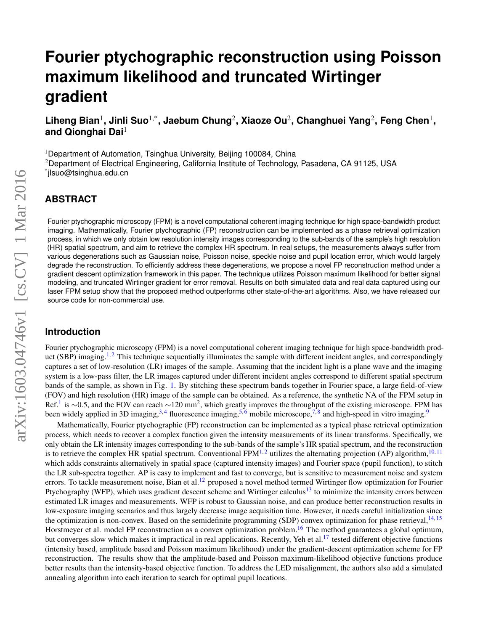# **Fourier ptychographic reconstruction using Poisson maximum likelihood and truncated Wirtinger gradient**

 $\mathsf{Liheng~Bian^1, Jinli~Suo^{1,*}, Jaebum~Chung^2, Xiaoze~Ou^2, Changhuei~Yang^2, Feng~Chen^1,$ **and Qionghai Dai**<sup>1</sup>

<sup>1</sup>Department of Automation, Tsinghua University, Beijing 100084, China <sup>2</sup>Department of Electrical Engineering, California Institute of Technology, Pasadena, CA 91125, USA \* jlsuo@tsinghua.edu.cn

# **ABSTRACT**

Fourier ptychographic microscopy (FPM) is a novel computational coherent imaging technique for high space-bandwidth product imaging. Mathematically, Fourier ptychographic (FP) reconstruction can be implemented as a phase retrieval optimization process, in which we only obtain low resolution intensity images corresponding to the sub-bands of the sample's high resolution (HR) spatial spectrum, and aim to retrieve the complex HR spectrum. In real setups, the measurements always suffer from various degenerations such as Gaussian noise, Poisson noise, speckle noise and pupil location error, which would largely degrade the reconstruction. To efficiently address these degenerations, we propose a novel FP reconstruction method under a gradient descent optimization framework in this paper. The technique utilizes Poisson maximum likelihood for better signal modeling, and truncated Wirtinger gradient for error removal. Results on both simulated data and real data captured using our laser FPM setup show that the proposed method outperforms other state-of-the-art algorithms. Also, we have released our source code for non-commercial use.

## **Introduction**

Fourier ptychographic microscopy (FPM) is a novel computational coherent imaging technique for high space-bandwidth prod-uct (SBP) imaging.<sup>[1,](#page-8-0)[2](#page-8-1)</sup> This technique sequentially illuminates the sample with different incident angles, and correspondingly captures a set of low-resolution (LR) images of the sample. Assuming that the incident light is a plane wave and the imaging system is a low-pass filter, the LR images captured under different incident angles correspond to different spatial spectrum bands of the sample, as shown in Fig. [1.](#page-1-0) By stitching these spectrum bands together in Fourier space, a large field-of-view (FOV) and high resolution (HR) image of the sample can be obtained. As a reference, the synthetic NA of the FPM setup in Ref.<sup>[1](#page-8-0)</sup> is ~0.5, and the FOV can reach ~120 mm<sup>2</sup>, which greatly improves the throughput of the existing microscope. FPM has been widely applied in 3D imaging,  $3,4$  $3,4$  fluorescence imaging,  $5,6$  $5,6$  mobile microscope,  $7,8$  $7,8$  and high-speed in vitro imaging.

Mathematically, Fourier ptychographic (FP) reconstruction can be implemented as a typical phase retrieval optimization process, which needs to recover a complex function given the intensity measurements of its linear transforms. Specifically, we only obtain the LR intensity images corresponding to the sub-bands of the sample's HR spatial spectrum, and the reconstruction is to retrieve the complex HR spatial spectrum. Conventional FPM<sup>[1,](#page-8-0)[2](#page-8-1)</sup> utilizes the alternating projection (AP) algorithm,<sup>[10,](#page-8-9) [11](#page-8-10)</sup> which adds constraints alternatively in spatial space (captured intensity images) and Fourier space (pupil function), to stitch the LR sub-spectra together. AP is easy to implement and fast to converge, but is sensitive to measurement noise and system errors. To tackle measurement noise, Bian et al.<sup>[12](#page-8-11)</sup> proposed a novel method termed Wirtinger flow optimization for Fourier Ptychography (WFP), which uses gradient descent scheme and Wirtinger calculus<sup>[13](#page-8-12)</sup> to minimize the intensity errors between estimated LR images and measurements. WFP is robust to Gaussian noise, and can produce better reconstruction results in low-exposure imaging scenarios and thus largely decrease image acquisition time. However, it needs careful initialization since the optimization is non-convex. Based on the semidefinite programming (SDP) convex optimization for phase retrieval,  $14, 15$  $14, 15$  $14, 15$ Horstmeyer et al. model FP reconstruction as a convex optimization problem.<sup>[16](#page-8-15)</sup> The method guarantees a global optimum, but converges slow which makes it impractical in real applications. Recently, Yeh et al.<sup>[17](#page-8-16)</sup> tested different objective functions (intensity based, amplitude based and Poisson maximum likelihood) under the gradient-descent optimization scheme for FP reconstruction. The results show that the amplitude-based and Poisson maximum-likelihood objective functions produce better results than the intensity-based objective function. To address the LED misalignment, the authors also add a simulated annealing algorithm into each iteration to search for optimal pupil locations.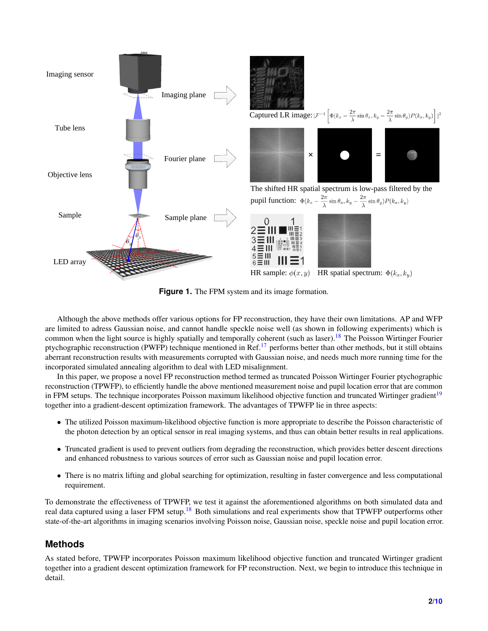<span id="page-1-0"></span>

**Figure 1.** The FPM system and its image formation.

Although the above methods offer various options for FP reconstruction, they have their own limitations. AP and WFP are limited to adress Gaussian noise, and cannot handle speckle noise well (as shown in following experiments) which is common when the light source is highly spatially and temporally coherent (such as laser).<sup>[18](#page-8-17)</sup> The Poisson Wirtinger Fourier ptychographic reconstruction (PWFP) technique mentioned in Ref.[17](#page-8-16) performs better than other methods, but it still obtains aberrant reconstruction results with measurements corrupted with Gaussian noise, and needs much more running time for the incorporated simulated annealing algorithm to deal with LED misalignment.

In this paper, we propose a novel FP reconstruction method termed as truncated Poisson Wirtinger Fourier ptychographic reconstruction (TPWFP), to efficiently handle the above mentioned measurement noise and pupil location error that are common in FPM setups. The technique incorporates Poisson maximum likelihood objective function and truncated Wirtinger gradient<sup>[19](#page-8-18)</sup> together into a gradient-descent optimization framework. The advantages of TPWFP lie in three aspects:

- The utilized Poisson maximum-likelihood objective function is more appropriate to describe the Poisson characteristic of the photon detection by an optical sensor in real imaging systems, and thus can obtain better results in real applications.
- Truncated gradient is used to prevent outliers from degrading the reconstruction, which provides better descent directions and enhanced robustness to various sources of error such as Gaussian noise and pupil location error.
- There is no matrix lifting and global searching for optimization, resulting in faster convergence and less computational requirement.

To demonstrate the effectiveness of TPWFP, we test it against the aforementioned algorithms on both simulated data and real data captured using a laser FPM setup.<sup>[18](#page-8-17)</sup> Both simulations and real experiments show that TPWFP outperforms other state-of-the-art algorithms in imaging scenarios involving Poisson noise, Gaussian noise, speckle noise and pupil location error.

# **Methods**

As stated before, TPWFP incorporates Poisson maximum likelihood objective function and truncated Wirtinger gradient together into a gradient descent optimization framework for FP reconstruction. Next, we begin to introduce this technique in detail.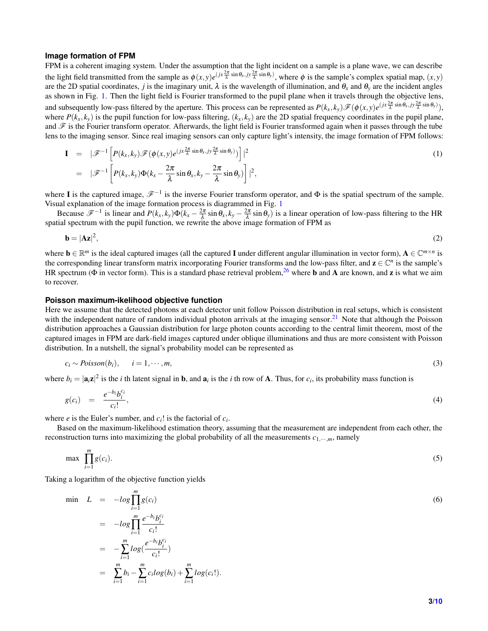#### **Image formation of FPM**

FPM is a coherent imaging system. Under the assumption that the light incident on a sample is a plane wave, we can describe the light field transmitted from the sample as  $\phi(x, y)e^{(jx\frac{2\pi}{\lambda}\sin\theta_x, jy\frac{2\pi}{\lambda}\sin\theta_y)}$ , where  $\phi$  is the sample's complex spatial map,  $(x, y)$ are the 2D spatial coordinates, *j* is the imaginary unit,  $\lambda$  is the wavelength of illumination, and  $\theta$ <sub>x</sub> and  $\theta$ <sub>y</sub> are the incident angles as shown in Fig. [1.](#page-1-0) Then the light field is Fourier transformed to the pupil plane when it travels through the objective lens, and subsequently low-pass filtered by the aperture. This process can be represented as  $P(k_x, k_y) \mathscr{F}(\phi(x, y) e^{(jx \frac{2\pi}{\lambda} \sin \theta_x, jy \frac{2\pi}{\lambda} \sin \theta_y)})$ , where  $P(k_x, k_y)$  is the pupil function for low-pass filtering,  $(k_x, k_y)$  are the 2D spatial frequency coordinates in the pupil plane, and  $\mathscr F$  is the Fourier transform operator. Afterwards, the light field is Fourier transformed again when it passes through the tube lens to the imaging sensor. Since real imaging sensors can only capture light's intensity, the image formation of FPM follows:

$$
\mathbf{I} = |\mathscr{F}^{-1}\left[P(k_x, k_y)\mathscr{F}(\phi(x, y)e^{(jx\frac{2\pi}{\lambda}\sin\theta_x, jy\frac{2\pi}{\lambda}\sin\theta_y)})\right]|^2 \n= |\mathscr{F}^{-1}\left[P(k_x, k_y)\Phi(k_x - \frac{2\pi}{\lambda}\sin\theta_x, k_y - \frac{2\pi}{\lambda}\sin\theta_y)\right]|^2,
$$
\n(1)

where I is the captured image,  $\mathscr{F}^{-1}$  is the inverse Fourier transform operator, and  $\Phi$  is the spatial spectrum of the sample. Visual explanation of the image formation process is diagrammed in Fig. [1](#page-1-0)

Because  $\mathscr{F}^{-1}$  is linear and  $P(k_x, k_y) \Phi(k_x - \frac{2\pi}{\lambda} \sin \theta_x, k_y - \frac{2\pi}{\lambda} \sin \theta_y)$  is a linear operation of low-pass filtering to the HR spatial spectrum with the pupil function, we rewrite the above image formation of FPM as

<span id="page-2-0"></span>
$$
\mathbf{b} = |\mathbf{A}\mathbf{z}|^2,\tag{2}
$$

where  $\mathbf{b} \in \mathbb{R}^m$  is the ideal captured images (all the captured **I** under different angular illumination in vector form),  $\mathbf{A} \in \mathbb{C}^{m \times n}$  is the corresponding linear transform matrix incorporating Fourier transforms and the low-pass filter, and  $z \in \mathbb{C}^n$  is the sample's HR spectrum ( $\Phi$  in vector form). This is a standard phase retrieval problem,  $^{26}$  $^{26}$  $^{26}$  where **b** and **A** are known, and **z** is what we aim to recover.

#### **Poisson maximum-ikelihood objective function**

Here we assume that the detected photons at each detector unit follow Poisson distribution in real setups, which is consistent with the independent nature of random individual photon arrivals at the imaging sensor.<sup>[21](#page-8-19)</sup> Note that although the Poisson distribution approaches a Gaussian distribution for large photon counts according to the central limit theorem, most of the captured images in FPM are dark-field images captured under oblique illuminations and thus are more consistent with Poisson distribution. In a nutshell, the signal's probability model can be represented as

$$
c_i \sim Poisson(b_i), \qquad i = 1, \cdots, m,
$$
\n<sup>(3)</sup>

where  $b_i = |\mathbf{a}_i \mathbf{z}|^2$  is the *i* th latent signal in **b**, and  $\mathbf{a}_i$  is the *i* th row of **A**. Thus, for  $c_i$ , its probability mass function is

$$
g(c_i) = \frac{e^{-b_i}b_i^{c_i}}{c_i!},\tag{4}
$$

where *e* is the Euler's number, and  $c_i!$  is the factorial of  $c_i$ .

Based on the maximum-likelihood estimation theory, assuming that the measurement are independent from each other, the reconstruction turns into maximizing the global probability of all the measurements  $c_1, \ldots, m$ , namely

$$
\max \prod_{i=1}^{m} g(c_i). \tag{5}
$$

Taking a logarithm of the objective function yields

$$
\begin{aligned}\n\min \quad L &= -\log \prod_{i=1}^{m} g(c_i) \\
&= -\log \prod_{i=1}^{m} \frac{e^{-b_i} b_i^{c_i}}{c_i!} \\
&= -\sum_{i=1}^{m} \log \left( \frac{e^{-b_i} b_i^{c_i}}{c_i!} \right) \\
&= \sum_{i=1}^{m} b_i - \sum_{i=1}^{m} c_i \log(b_i) + \sum_{i=1}^{m} \log(c_i!).\n\end{aligned} \tag{6}
$$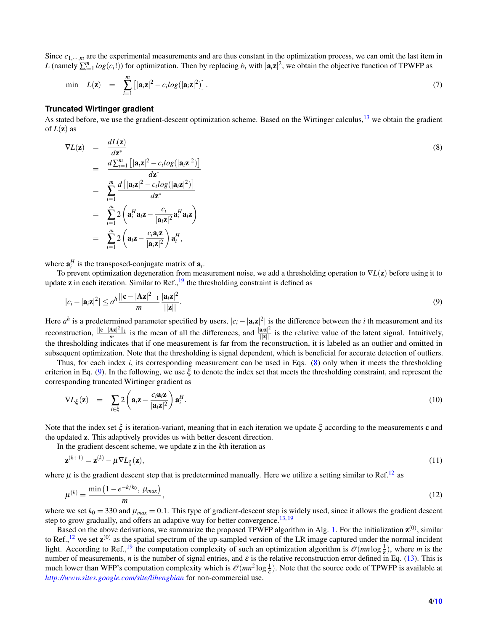Since  $c_1$ <sub>…</sub>,*m* are the experimental measurements and are thus constant in the optimization process, we can omit the last item in *L* (namely  $\sum_{i=1}^{m} log(c_i!)$ ) for optimization. Then by replacing *b<sub>i</sub>* with  $|a_i z|^2$ , we obtain the objective function of TPWFP as

$$
\min \quad L(\mathbf{z}) \quad = \quad \sum_{i=1}^{m} \left[ |\mathbf{a}_i \mathbf{z}|^2 - c_i \log(|\mathbf{a}_i \mathbf{z}|^2) \right]. \tag{7}
$$

#### **Truncated Wirtinger gradient**

As stated before, we use the gradient-descent optimization scheme. Based on the Wirtinger calculus,  $^{13}$  $^{13}$  $^{13}$  we obtain the gradient of  $L(\mathbf{z})$  as

<span id="page-3-0"></span>
$$
\nabla L(\mathbf{z}) = \frac{dL(\mathbf{z})}{d\mathbf{z}^*}
$$
\n
$$
= \frac{d\sum_{i=1}^m \left[|\mathbf{a}_i\mathbf{z}|^2 - c_i log(|\mathbf{a}_i\mathbf{z}|^2)\right]}{d\mathbf{z}^*}
$$
\n
$$
= \sum_{i=1}^m \frac{d\left[|\mathbf{a}_i\mathbf{z}|^2 - c_i log(|\mathbf{a}_i\mathbf{z}|^2)\right]}{d\mathbf{z}^*}
$$
\n
$$
= \sum_{i=1}^m 2\left(\mathbf{a}_i^H \mathbf{a}_i \mathbf{z} - \frac{c_i}{|\mathbf{a}_i\mathbf{z}|^2} \mathbf{a}_i^H \mathbf{a}_i \mathbf{z}\right)
$$
\n
$$
= \sum_{i=1}^m 2\left(\mathbf{a}_i \mathbf{z} - \frac{c_i \mathbf{a}_i \mathbf{z}}{|\mathbf{a}_i \mathbf{z}|^2}\right) \mathbf{a}_i^H,
$$
\n(8)

where  $\mathbf{a}_i^H$  is the transposed-conjugate matrix of  $\mathbf{a}_i$ .

To prevent optimization degeneration from measurement noise, we add a thresholding operation to ∇*L*(z) before using it to update **z** in each iteration. Similar to Ref.,  $^{19}$  $^{19}$  $^{19}$  the thresholding constraint is defined as

<span id="page-3-1"></span>
$$
|c_i - |\mathbf{a}_i \mathbf{z}|^2| \leq a^h \frac{||\mathbf{c} - |\mathbf{A} \mathbf{z}|^2||_1}{m} \frac{|\mathbf{a}_i \mathbf{z}|^2}{||\mathbf{z}||}.
$$
 (9)

Here  $a^h$  is a predetermined parameter specified by users,  $|c_i - |a_i z|^2|$  is the difference between the *i* th measurement and its reconstruction,  $\frac{\Vert c - |Az|^2 \Vert_1}{m}$  is the mean of all the differences, and  $\frac{\Vert a_i z \Vert^2}{\Vert z \Vert}$  is the relative value of the latent signal. Intuitively, the thresholding indicates that if one measurement is far from the reconstruction, it is labeled as an outlier and omitted in subsequent optimization. Note that the thresholding is signal dependent, which is beneficial for accurate detection of outliers.

Thus, for each index *i*, its corresponding measurement can be used in Eqs. [\(8\)](#page-3-0) only when it meets the thresholding criterion in Eq. [\(9\)](#page-3-1). In the following, we use  $\xi$  to denote the index set that meets the thresholding constraint, and represent the corresponding truncated Wirtinger gradient as

$$
\nabla L_{\xi}(\mathbf{z}) = \sum_{i \in \xi} 2 \left( \mathbf{a}_i \mathbf{z} - \frac{c_i \mathbf{a}_i \mathbf{z}}{|\mathbf{a}_i \mathbf{z}|^2} \right) \mathbf{a}_i^H. \tag{10}
$$

Note that the index set ξ is iteration-variant, meaning that in each iteration we update ξ according to the measurements c and the updated z. This adaptively provides us with better descent direction.

In the gradient descent scheme, we update z in the *k*th iteration as

<span id="page-3-3"></span>
$$
\mathbf{z}^{(k+1)} = \mathbf{z}^{(k)} - \mu \nabla L_{\xi}(\mathbf{z}),\tag{11}
$$

where  $\mu$  is the gradient descent step that is predetermined manually. Here we utilize a setting similar to Ref.<sup>[12](#page-8-11)</sup> as

<span id="page-3-2"></span>
$$
\mu^{(k)} = \frac{\min\left(1 - e^{-k/k_0}, \mu_{max}\right)}{m},\tag{12}
$$

where we set  $k_0 = 330$  and  $\mu_{max} = 0.1$ . This type of gradient-descent step is widely used, since it allows the gradient descent step to grow gradually, and offers an adaptive way for better convergence.<sup>[13,](#page-8-12) [19](#page-8-18)</sup>

Based on the above derivations, we summarize the proposed TPWFP algorithm in Alg. [1.](#page-4-0) For the initialization  $z^{(0)}$ , similar to Ref.,  $^{12}$  $^{12}$  $^{12}$  we set  $z^{(0)}$  as the spatial spectrum of the up-sampled version of the LR image captured under the normal incident light. According to Ref.,<sup>[19](#page-8-18)</sup> the computation complexity of such an optimization algorithm is  $\mathcal{O}(mn \log \frac{1}{\epsilon})$ , where *m* is the number of measurements, *n* is the number of signal entries, and  $\varepsilon$  is the relative reconstruction error defined in Eq. [\(13\)](#page-4-1). This is much lower than WFP's computation complexity which is  $\mathcal{O}(mn^2 \log \frac{1}{\varepsilon})$ . Note that the source code of TPWFP is available at *<http://www.sites.google.com/site/lihengbian>* for non-commercial use.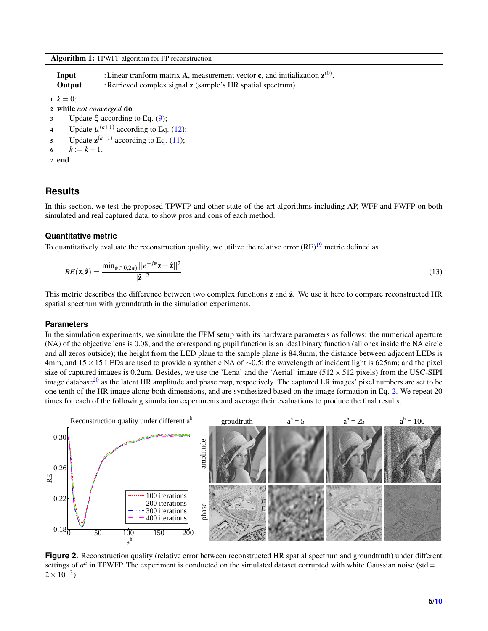Algorithm 1: TPWFP algorithm for FP reconstruction

|                          | Input<br>Output                             | : Linear tranform matrix A, measurement vector c, and initialization $z^{(0)}$ .<br>: Retrieved complex signal <b>z</b> (sample's HR spatial spectrum). |  |  |  |  |
|--------------------------|---------------------------------------------|---------------------------------------------------------------------------------------------------------------------------------------------------------|--|--|--|--|
| $k = 0$ ;                |                                             |                                                                                                                                                         |  |  |  |  |
| 2 while not converged do |                                             |                                                                                                                                                         |  |  |  |  |
|                          | Update $\xi$ according to Eq. (9);          |                                                                                                                                                         |  |  |  |  |
| $\overline{4}$           | Update $\mu^{(k+1)}$ according to Eq. (12); |                                                                                                                                                         |  |  |  |  |
| $\overline{5}$           |                                             | Update $z^{(k+1)}$ according to Eq. (11);                                                                                                               |  |  |  |  |
|                          | $k := k + 1.$                               |                                                                                                                                                         |  |  |  |  |
| 7 end                    |                                             |                                                                                                                                                         |  |  |  |  |

## <span id="page-4-0"></span>**Results**

In this section, we test the proposed TPWFP and other state-of-the-art algorithms including AP, WFP and PWFP on both simulated and real captured data, to show pros and cons of each method.

### **Quantitative metric**

To quantitatively evaluate the reconstruction quality, we utilize the relative error  $(RE)^{19}$  $(RE)^{19}$  $(RE)^{19}$  metric defined as

<span id="page-4-1"></span>
$$
RE(\mathbf{z},\hat{\mathbf{z}})=\frac{\min_{\phi\in[0,2\pi)}||e^{-j\phi}\mathbf{z}-\hat{\mathbf{z}}||^2}{||\hat{\mathbf{z}}||^2}.
$$
\n(13)

This metric describes the difference between two complex functions  $z$  and  $\hat{z}$ . We use it here to compare reconstructed HR spatial spectrum with groundtruth in the simulation experiments.

#### **Parameters**

In the simulation experiments, we simulate the FPM setup with its hardware parameters as follows: the numerical aperture (NA) of the objective lens is 0.08, and the corresponding pupil function is an ideal binary function (all ones inside the NA circle and all zeros outside); the height from the LED plane to the sample plane is 84.8mm; the distance between adjacent LEDs is 4mm, and 15×15 LEDs are used to provide a synthetic NA of ∼0.5; the wavelength of incident light is 625nm; and the pixel size of captured images is 0.2um. Besides, we use the 'Lena' and the 'Aerial' image  $(512 \times 512$  pixels) from the USC-SIPI image database $20$  as the latent HR amplitude and phase map, respectively. The captured LR images' pixel numbers are set to be one tenth of the HR image along both dimensions, and are synthesized based on the image formation in Eq. [2.](#page-2-0) We repeat 20 times for each of the following simulation experiments and average their evaluations to produce the final results.

<span id="page-4-2"></span>

**Figure 2.** Reconstruction quality (relative error between reconstructed HR spatial spectrum and groundtruth) under different settings of  $a^h$  in TPWFP. The experiment is conducted on the simulated dataset corrupted with white Gaussian noise (std =  $2 \times 10^{-3}$ ).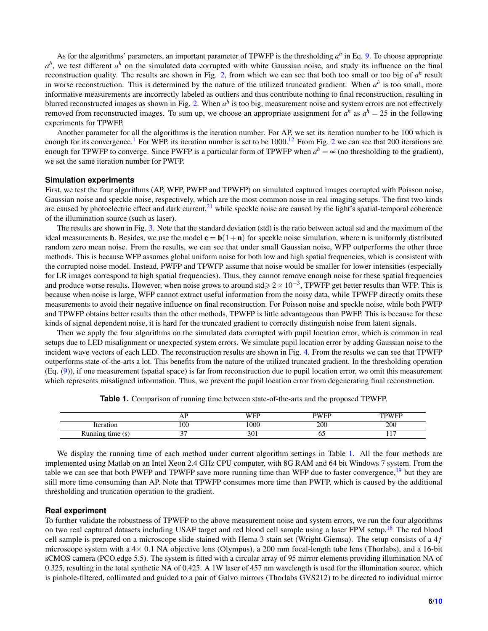As for the algorithms' parameters, an important parameter of TPWFP is the thresholding *a h* in Eq. [9.](#page-3-1) To choose appropriate  $a^h$ , we test different  $a^h$  on the simulated data corrupted with white Gaussian noise, and study its influence on the final reconstruction quality. The results are shown in Fig. [2,](#page-4-2) from which we can see that both too small or too big of  $a^h$  result in worse reconstruction. This is determined by the nature of the utilized truncated gradient. When  $a^h$  is too small, more informative measurements are incorrectly labeled as outliers and thus contribute nothing to final reconstruction, resulting in blurred reconstructed images as shown in Fig. [2.](#page-4-2) When *a h* is too big, measurement noise and system errors are not effectively removed from reconstructed images. To sum up, we choose an appropriate assignment for  $a^h$  as  $a^h = 25$  in the following experiments for TPWFP.

Another parameter for all the algorithms is the iteration number. For AP, we set its iteration number to be 100 which is enough for its convergence.<sup>[1](#page-8-0)</sup> For WFP, its iteration number is set to be  $1000$ .<sup>[12](#page-8-11)</sup> From Fig. [2](#page-4-2) we can see that 200 iterations are enough for TPWFP to converge. Since PWFP is a particular form of TPWFP when  $a^h = \infty$  (no thresholding to the gradient), we set the same iteration number for PWFP.

#### **Simulation experiments**

First, we test the four algorithms (AP, WFP, PWFP and TPWFP) on simulated captured images corrupted with Poisson noise, Gaussian noise and speckle noise, respectively, which are the most common noise in real imaging setups. The first two kinds are caused by photoelectric effect and dark current, $2<sup>1</sup>$  while speckle noise are caused by the light's spatial-temporal coherence of the illumination source (such as laser).

The results are shown in Fig. [3.](#page-6-0) Note that the standard deviation (std) is the ratio between actual std and the maximum of the ideal measurements **b**. Besides, we use the model  $\mathbf{c} = \mathbf{b}(1+\mathbf{n})$  for speckle noise simulation, where **n** is uniformly distributed random zero mean noise. From the results, we can see that under small Gaussian noise, WFP outperforms the other three methods. This is because WFP assumes global uniform noise for both low and high spatial frequencies, which is consistent with the corrupted noise model. Instead, PWFP and TPWFP assume that noise would be smaller for lower intensities (especially for LR images correspond to high spatial frequencies). Thus, they cannot remove enough noise for these spatial frequencies and produce worse results. However, when noise grows to around std $\ge 2 \times 10^{-3}$ , TPWFP get better results than WFP. This is because when noise is large, WFP cannot extract useful information from the noisy data, while TPWFP directly omits these measurements to avoid their negative influence on final reconstruction. For Poisson noise and speckle noise, while both PWFP and TPWFP obtains better results than the other methods, TPWFP is little advantageous than PWFP. This is because for these kinds of signal dependent noise, it is hard for the truncated gradient to correctly distinguish noise from latent signals.

Then we apply the four algorithms on the simulated data corrupted with pupil location error, which is common in real setups due to LED misalignment or unexpected system errors. We simulate pupil location error by adding Gaussian noise to the incident wave vectors of each LED. The reconstruction results are shown in Fig. [4.](#page-7-0) From the results we can see that TPWFP outperforms state-of-the-arts a lot. This benefits from the nature of the utilized truncated gradient. In the thresholding operation (Eq. [\(9\)](#page-3-1)), if one measurement (spatial space) is far from reconstruction due to pupil location error, we omit this measurement which represents misaligned information. Thus, we prevent the pupil location error from degenerating final reconstruction.

<span id="page-5-0"></span>

|                              | __  | <b>TTITT</b><br>w           | <b>PWFP</b> | VFF<br>ั∟<br>. W. |
|------------------------------|-----|-----------------------------|-------------|-------------------|
| Iteration                    | 100 | 1000                        | 200         | 200               |
| <b>Running</b><br>time<br>10 | ~~  | $\sim$ $\sim$<br><b>JUI</b> | ັ           | . .               |

**Table 1.** Comparison of running time between state-of-the-arts and the proposed TPWFP.

We display the running time of each method under current algorithm settings in Table [1.](#page-5-0) All the four methods are implemented using Matlab on an Intel Xeon 2.4 GHz CPU computer, with 8G RAM and 64 bit Windows 7 system. From the table we can see that both PWFP and TPWFP save more running time than WFP due to faster convergence, $19$  but they are still more time consuming than AP. Note that TPWFP consumes more time than PWFP, which is caused by the additional thresholding and truncation operation to the gradient.

#### **Real experiment**

To further validate the robustness of TPWFP to the above measurement noise and system errors, we run the four algorithms on two real captured datasets including USAF target and red blood cell sample using a laser FPM setup.<sup>[18](#page-8-17)</sup> The red blood cell sample is prepared on a microscope slide stained with Hema 3 stain set (Wright-Giemsa). The setup consists of a 4 *f* microscope system with a  $4\times$  0.1 NA objective lens (Olympus), a 200 mm focal-length tube lens (Thorlabs), and a 16-bit sCMOS camera (PCO.edge 5.5). The system is fitted with a circular array of 95 mirror elements providing illumination NA of 0.325, resulting in the total synthetic NA of 0.425. A 1W laser of 457 nm wavelength is used for the illumination source, which is pinhole-filtered, collimated and guided to a pair of Galvo mirrors (Thorlabs GVS212) to be directed to individual mirror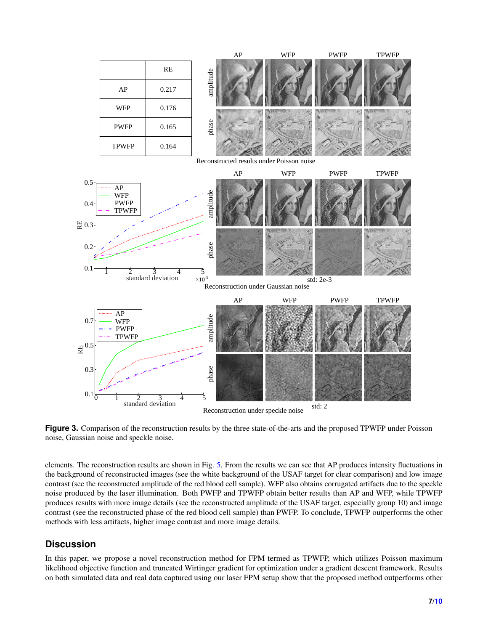<span id="page-6-0"></span>

**Figure 3.** Comparison of the reconstruction results by the three state-of-the-arts and the proposed TPWFP under Poisson noise, Gaussian noise and speckle noise.

elements. The reconstruction results are shown in Fig. [5.](#page-7-1) From the results we can see that AP produces intensity fluctuations in the background of reconstructed images (see the white background of the USAF target for clear comparison) and low image contrast (see the reconstructed amplitude of the red blood cell sample). WFP also obtains corrugated artifacts due to the speckle noise produced by the laser illumination. Both PWFP and TPWFP obtain better results than AP and WFP, while TPWFP produces results with more image details (see the reconstructed amplitude of the USAF target, especially group 10) and image contrast (see the reconstructed phase of the red blood cell sample) than PWFP. To conclude, TPWFP outperforms the other methods with less artifacts, higher image contrast and more image details.

## **Discussion**

In this paper, we propose a novel reconstruction method for FPM termed as TPWFP, which utilizes Poisson maximum likelihood objective function and truncated Wirtinger gradient for optimization under a gradient descent framework. Results on both simulated data and real data captured using our laser FPM setup show that the proposed method outperforms other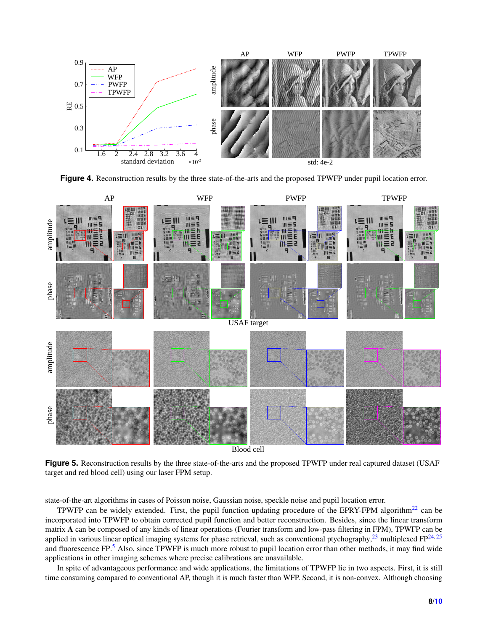<span id="page-7-0"></span>

**Figure 4.** Reconstruction results by the three state-of-the-arts and the proposed TPWFP under pupil location error.

<span id="page-7-1"></span>

Blood cell

**Figure 5.** Reconstruction results by the three state-of-the-arts and the proposed TPWFP under real captured dataset (USAF target and red blood cell) using our laser FPM setup.

state-of-the-art algorithms in cases of Poisson noise, Gaussian noise, speckle noise and pupil location error.

TPWFP can be widely extended. First, the pupil function updating procedure of the EPRY-FPM algorithm<sup>[22](#page-8-21)</sup> can be incorporated into TPWFP to obtain corrected pupil function and better reconstruction. Besides, since the linear transform matrix A can be composed of any kinds of linear operations (Fourier transform and low-pass filtering in FPM), TPWFP can be applied in various linear optical imaging systems for phase retrieval, such as conventional ptychography,  $^{23}$  $^{23}$  $^{23}$  multiplexed FP $^{24,25}$  $^{24,25}$  $^{24,25}$  $^{24,25}$ and fluorescence  $FP<sup>5</sup>$  $FP<sup>5</sup>$  $FP<sup>5</sup>$  Also, since TPWFP is much more robust to pupil location error than other methods, it may find wide applications in other imaging schemes where precise calibrations are unavailable.

In spite of advantageous performance and wide applications, the limitations of TPWFP lie in two aspects. First, it is still time consuming compared to conventional AP, though it is much faster than WFP. Second, it is non-convex. Although choosing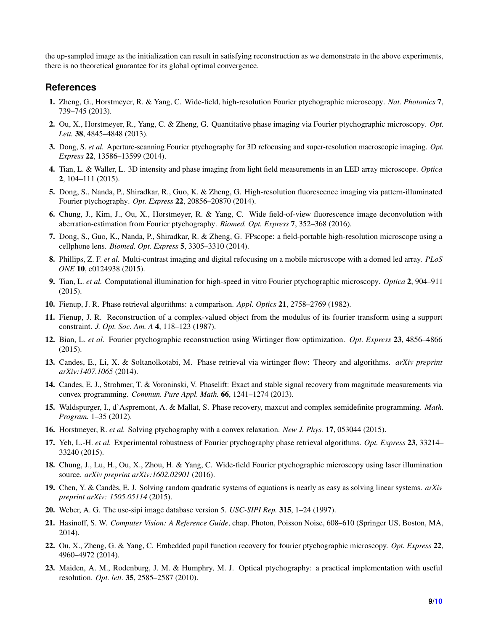the up-sampled image as the initialization can result in satisfying reconstruction as we demonstrate in the above experiments, there is no theoretical guarantee for its global optimal convergence.

## **References**

- <span id="page-8-0"></span>1. Zheng, G., Horstmeyer, R. & Yang, C. Wide-field, high-resolution Fourier ptychographic microscopy. *Nat. Photonics* 7, 739–745 (2013).
- <span id="page-8-1"></span>2. Ou, X., Horstmeyer, R., Yang, C. & Zheng, G. Quantitative phase imaging via Fourier ptychographic microscopy. *Opt. Lett.* 38, 4845–4848 (2013).
- <span id="page-8-2"></span>3. Dong, S. *et al.* Aperture-scanning Fourier ptychography for 3D refocusing and super-resolution macroscopic imaging. *Opt. Express* 22, 13586–13599 (2014).
- <span id="page-8-3"></span>4. Tian, L. & Waller, L. 3D intensity and phase imaging from light field measurements in an LED array microscope. *Optica* 2, 104–111 (2015).
- <span id="page-8-4"></span>5. Dong, S., Nanda, P., Shiradkar, R., Guo, K. & Zheng, G. High-resolution fluorescence imaging via pattern-illuminated Fourier ptychography. *Opt. Express* 22, 20856–20870 (2014).
- <span id="page-8-5"></span>6. Chung, J., Kim, J., Ou, X., Horstmeyer, R. & Yang, C. Wide field-of-view fluorescence image deconvolution with aberration-estimation from Fourier ptychography. *Biomed. Opt. Express* 7, 352–368 (2016).
- <span id="page-8-6"></span>7. Dong, S., Guo, K., Nanda, P., Shiradkar, R. & Zheng, G. FPscope: a field-portable high-resolution microscope using a cellphone lens. *Biomed. Opt. Express* 5, 3305–3310 (2014).
- <span id="page-8-7"></span>8. Phillips, Z. F. *et al.* Multi-contrast imaging and digital refocusing on a mobile microscope with a domed led array. *PLoS ONE* 10, e0124938 (2015).
- <span id="page-8-8"></span>9. Tian, L. *et al.* Computational illumination for high-speed in vitro Fourier ptychographic microscopy. *Optica* 2, 904–911 (2015).
- <span id="page-8-9"></span>10. Fienup, J. R. Phase retrieval algorithms: a comparison. *Appl. Optics* 21, 2758–2769 (1982).
- <span id="page-8-10"></span>11. Fienup, J. R. Reconstruction of a complex-valued object from the modulus of its fourier transform using a support constraint. *J. Opt. Soc. Am. A* 4, 118–123 (1987).
- <span id="page-8-11"></span>12. Bian, L. *et al.* Fourier ptychographic reconstruction using Wirtinger flow optimization. *Opt. Express* 23, 4856–4866 (2015).
- <span id="page-8-12"></span>13. Candes, E., Li, X. & Soltanolkotabi, M. Phase retrieval via wirtinger flow: Theory and algorithms. *arXiv preprint arXiv:1407.1065* (2014).
- <span id="page-8-13"></span>14. Candes, E. J., Strohmer, T. & Voroninski, V. Phaselift: Exact and stable signal recovery from magnitude measurements via convex programming. *Commun. Pure Appl. Math.* 66, 1241–1274 (2013).
- <span id="page-8-14"></span>15. Waldspurger, I., d'Aspremont, A. & Mallat, S. Phase recovery, maxcut and complex semidefinite programming. *Math. Program.* 1–35 (2012).
- <span id="page-8-15"></span>16. Horstmeyer, R. *et al.* Solving ptychography with a convex relaxation. *New J. Phys.* 17, 053044 (2015).
- <span id="page-8-16"></span>17. Yeh, L.-H. *et al.* Experimental robustness of Fourier ptychography phase retrieval algorithms. *Opt. Express* 23, 33214– 33240 (2015).
- <span id="page-8-17"></span>18. Chung, J., Lu, H., Ou, X., Zhou, H. & Yang, C. Wide-field Fourier ptychographic microscopy using laser illumination source. *arXiv preprint arXiv:1602.02901* (2016).
- <span id="page-8-18"></span>19. Chen, Y. & Candes, E. J. Solving random quadratic systems of equations is nearly as easy as solving linear systems. ` *arXiv preprint arXiv: 1505.05114* (2015).
- <span id="page-8-20"></span>20. Weber, A. G. The usc-sipi image database version 5. *USC-SIPI Rep.* 315, 1–24 (1997).
- <span id="page-8-19"></span>21. Hasinoff, S. W. *Computer Vision: A Reference Guide*, chap. Photon, Poisson Noise, 608–610 (Springer US, Boston, MA, 2014).
- <span id="page-8-21"></span>22. Ou, X., Zheng, G. & Yang, C. Embedded pupil function recovery for fourier ptychographic microscopy. *Opt. Express* 22, 4960–4972 (2014).
- <span id="page-8-22"></span>23. Maiden, A. M., Rodenburg, J. M. & Humphry, M. J. Optical ptychography: a practical implementation with useful resolution. *Opt. lett.* 35, 2585–2587 (2010).